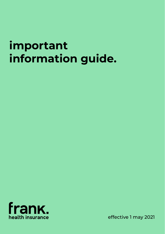# **important information guide.**



effective 1 may 2021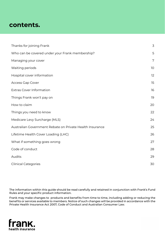# **contents.**

| Thanks for joining Frank                                 | 3  |
|----------------------------------------------------------|----|
| Who can be covered under your Frank membership?          | 5  |
| Managing your cover                                      | 7  |
| Waiting periods                                          | 10 |
| Hospital cover information                               | 12 |
| Access Gap Cover                                         | 15 |
| <b>Extras Cover Information</b>                          | 16 |
| Things Frank won't pay on                                | 19 |
| How to claim                                             | 20 |
| Things you need to know                                  | 22 |
| Medicare Levy Surcharge (MLS)                            | 24 |
| Australian Government Rebate on Private Health Insurance | 25 |
| Lifetime Health Cover Loading (LHC)                      | 26 |
| What if something goes wrong                             | 27 |
| Code of conduct                                          | 28 |
| Audits                                                   | 29 |
| <b>Clinical Categories</b>                               | 30 |

The information within this guide should be read carefully and retained in conjunction with Frank's Fund Rules and your specific product information.

Frank may make changes to products and benefits from time to time, including adding or reducing the benefits or services available to members. Notice of such changes will be provided in accordance with the Private Health Insurance Act 2007, Code of Conduct and Australian Consumer Law.

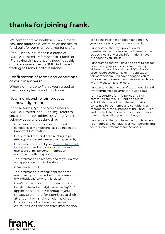# **thanks for joining frank.**

Welcome to frank, health insurance made easy and affordable. We're an online health fund built for our members, not for profit.

Frank Health Insurance is a brand of GMHBA Limited. References to "Frank" or "Frank Health Insurance" throughout this guide are references to GMHBA Limited trading as Frank Health Insurance.

# Confirmation of terms and conditions of your membership

When signing up to Frank, you agreed to the following terms and conditions:

### New membership join process acknowledgement

In these terms, "you" or "your" refers to GMHBA Limited, and "I" or "my" refers to you as the Policy Holder. By typing "yes" I acknowledge and declare that:

- I have read and accept your terms and conditions of membership (as outlined in the Important Information);
- I understand the conditions relating to preexisting conditions/illnesses, waiting periods;
- I have read and accept your **Privacy Statement** [for Members](https://www.frankhealthinsurance.com.au/legals#privacymembers) and I consent to the use and disclosure of my personal information in accordance with this policy;
- The information I have provided to you via my/ our application for membership
- is true and correct;
- The information in my/our application for membership is provided with the consent of the individual(s) to whom it relates.
- I confirm that I have the authority to act on behalf of the individual(s) named in my/our application and I have brought your Privacy Statement for Members to their attention; I will make all claims under this policy and will ensure that each claim includes the sensitive information

of a spouse/partner or dependant aged 16 years and over only with their consent;

- I understand that my application for membership at the payment of benefits may be declined if any of the information I have provided to you is false;
- I understand that you have the right to accept or refuse my application for membership on all levels except Basic Hospital 500 (Basic+) cover. Upon acceptance of my application for membership I will have engaged you to provide health insurance to me in accordance with my chosen level of cover;
- I understand that no benefits are payable until my membership payments are up to date;
- I am responsible for this policy and I will communicate to all current and future individuals covered by it, the information contained in your terms and conditions of membership, the existence of the Fund Rules, and the fact that those terms, conditions and rules apply to all of your members; and
- I understand that you have the right to amend your terms and conditions of membership and your Privacy Statement for Members.

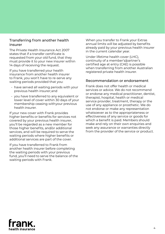### Transferring from another health insurer

The Private Health Insurance Act 2007 states that if a transfer certificate is requested from your old fund, that they must provide it to your new insurer within 14 days of receiving the request.

If you have transferred your health insurance from another health insurer to Frank, you won't have to re-serve any waiting periods provided that you:

- have served all waiting periods with your previous health insurer; and
- you have transferred to any equivalent or lower level of cover within 30 days of your membership ceasing with your previous health insurer.

If your new cover with Frank provides higher benefits or benefits for services not covered by your previous health insurer, you'll be regarded as a new member for those higher benefits, and/or additional services, and will be required to serve the waiting periods where higher benefits or additional services are part of the cover.

If you have transferred to Frank from another health insurer before completing the waiting periods with your previous fund, you'll need to serve the balance of the waiting periods with Frank.

When you transfer to Frank your Extras annual limits will be adjusted by benefits already paid by your previous health insurer in the current calendar year.

Under lifetime health cover (LHC), continuity of a member's/partner's certified age at entry (CAE) is possible when transferring from another Australian registered private health insurer.

#### Recommendation or endorsement

Frank does not offer health or medical services or advice. We do not recommend or endorse any medical practitioner, dentist, therapist, hospital, health or medical service provider, treatment, therapy or the use of any appliance or prosthetic. We do not endorse or make any representation whatsoever as to the appropriateness or effectiveness of any service or goods for which a benefit is paid. Members should make and rely on their own enquiries and seek any assurance or warranties directly from the provider of the service or product.

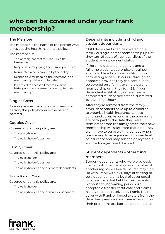# **who can be covered under your frank membership?**

# The Member

The member is the name of the person who takes out the health insurance policy.

The member is:

- The primary contact for Frank Health Insurance
- Responsible for paying their Frank premiums
- Nominates who is covered by the policy
- Responsible for keeping their personal and membership details up to date
- Is entitled to access all records, claims history and tax statements relating to their membership

# Singles Cover

As a single membership only covers one person, the policyholder is the person covered.

## Couples Cover

Covered under this policy are:

- The policyholder
- The policyholder's partner

# Family Cover

Covered under this policy are:

- The policyholder
- The policyholder's partner
- The policyholder's one or emore dependants

#### Single Parent Cover

Covered under this policy are:

- The policyholder
- The policyholder's one or more dependants

## Dependants including child and student dependants

Child dependants can be covered on a family or single parent membership up until they turn 21 years of age regardless of their student or employment status.

If the child dependant is single and a full time student, apprentice or trainee at an eligible educational institution, or completing a life skills course through an approved provider, they can continue to be covered on a family or single parent membership until they turn 25. If your dependant is still studying, we need a completed student declaration submitted by their 21 birthday.

After they're removed from the family cover, dependants have up to 2 months to organise health insurance to have continued cover. As long as the premiums are back paid to the date they were terminated from the family cover, their new membership will start from that date. They won't have to serve waiting periods when transferring to an equivalent or lower level of insurance and may select a policy that is eligible for age-based discount.

# Student dependants – other fund members

Student dependants who were previously insured with their parents as a member of another registered health insurer, may sign up with Frank within 30 days of ceasing to be a dependant, on a level of cover equal to or less than that held by their parents, without serving waiting periods. An acceptable transfer certificate and claims history must be received by Frank. Their cover with Frank will need to start from the date their previous cover ceased as long as their premiums are back paid to that date.

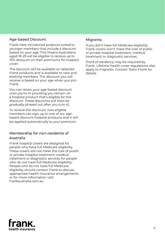# Age-based Discount

Frank have introduced products suited to younger members that include a discount based on your age. This means Australians aged 18-29 will be eligible to receive up to 10% discount on their premiums for hospital cover.

The discount will be available on selected Frank products and is available to new and existing members. The discount you will receive is based on your age when you join Frank.

You can retain your age-based discount until you're 41 providing you remain on a hospital product that's eligible for the discount. These discounts will then be gradually phased out after you turn 41.

To receive the discount, new eligible members can sign up to one of our agebased discount hospital products and it will be applied automatically to your premium.

# Membership for non-residents of Australia

Frank hospital covers are designed for people who have full Medicare eligibility. These covers will not meet the cost of public or private hospital treatment, medical treatment or diagnostic services for people who do not have full Medicare eligibility. People who do not have full Medicare eligibility should contact Frank to discuss appropriate health insurance arrangements or for more information visit frankaustralia.com.au.

#### Migrants

If you don't have full Medicare eligibility Frank covers won't meet the cost of public or private hospital treatment, medical treatment or diagnostic services.

Proof of residency may be required by Frank. Lifetime health cover regulations also apply to migrants. Contact Team Frank for details.

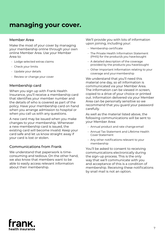# **managing your cover.**

#### Member Area

Make the most of your cover by managing your membership online through your own online Member Area. Use your Member Area to:

- Lodge selected extras claims
- Check your limits
- Update your details
- Review or change your cover

## Membership card

When you sign up with Frank Health Insurance, you'll receive a membership card that identifies your member number and the details of who is covered as part of the policy. Have your membership card on hand when you arrange admission to hospital or when you call us with any questions.

A new card may be issued when you make changes to your membership. Whenever a new membership card is issued, the existing card will become invalid. Keep your card safe and let us know straight away if your card is lost or stolen.

## Communications from Frank

We understand that paperwork is timeconsuming and tedious. On the other hand, we also know that members want to be able to easily access relevant information about their membership.

We'll provide you with lots of information upon joining, including your:

- Membership certificate
- The Private Health Information Statement (PHIS) for the product/s you have bought
- A detailed description of the coverage provided by the products you have bought
- Other Important Information relating to your coverage and your membership

We understand that you'll need this material one day, so all information is communicated via your Member Area. The information can be viewed in screen, copied to a drive of your choice or printed out. Information delivered via your Member Area can be personally sensitive so we recommend that you guard your password carefully.

As well as the material listed above, the following communications will be sent to your Member Area:

- Annual product and rate change email
- Annual Tax Statement and Lifetime Health Cover Statement
- Any other notifications relevant to your membership

You'll be asked to consent to receiving communications electronically during the sign-up process. This is the only way that we'll communicate with you and acceptance of this is a condition of membership. Receiving these notifications by snail mail is not an option.

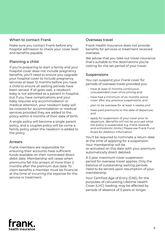# When to contact Frank

Make sure you contact Frank before any hospital admission to check your cover level and benefits payable.

# Planning a child

If you're preparing to start a family and your hospital cover does not include pregnancy benefits, you'll need to ensure you upgrade your hospital cover to include pregnancy services at least 12 months before you have a child to ensure all waiting periods have been served. If all goes well, a newborn baby is not admitted as a patient in hospital, but if you have complications and your baby requires any accommodation or medical attention, your newborn baby will be covered for accommodation or medical services provided they are added to the policy within 6 months of their date of birth.

A single policy will become a single parent policy, and a couples policy will be come a family policy when the newborn is added to the policy.

## Arrears

Frank members are responsible for ensuring their accounts have sufficient funds available on their nominated direct debit date. Membership will cease when premiums fall into arrears of more than 2 months after the premium due date. To claim benefits a member must be financial at the time of incurring the expense for the service or treatment.

#### Overseas travel

Frank Health Insurance does not provide benefits for services or treatment received overseas.

We advise that you take out travel insurance that's suitable to the destinations you're visiting for the set period of your travel.

## Suspensions

You can suspend your Frank cover for periods of overseas travel provided you:

- have at least 12 months continuous unsuspended cover since joining; and
- have had a minimum of six months active cover after any previous suspensions; and
- plan to be overseas for at least 4 weeks; and
- have paid premiums to the date of departure; and
- apply for suspension of your cover prior to departure. (Benefits will not be accrued whist the policy is suspended, e.g. Frank rewards and orthodontic limits.) Please see Frank Fund Rules for Addition information

You'll be required to nominate a return date at the time of applying for a suspension. Your membership will be re-activated on this date with your premium automatically direct debited.

A 3 year maximum cover suspension period for overseas travel applies. Only the balance of outstanding waiting periods need to be served upon resumption of your membership.

Your Certified Age of Entry (CAE), for the purposes of calculating Lifetime Health Cover (LHC) loading, may be affected by periods of absence of 3 years or longer.

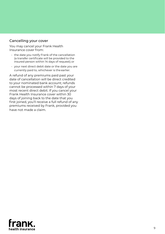#### Cancelling your cover

You may cancel your Frank Health Insurance cover from:

- the date you notify Frank of the cancellation (a transfer certificate will be provided to the insured person within 14 days of request); or
- your next direct debit date or the date you are currently paid to, whichever is the earlier.

A refund of any premiums paid past your date of cancellation will be direct credited to your nominated bank account; refunds cannot be processed within 7 days of your most recent direct debit. If you cancel your Frank Health Insurance cover within 30 days of joining back to the date that you first joined, you'll receive a full refund of any premiums received by Frank, provided you have not made a claim.

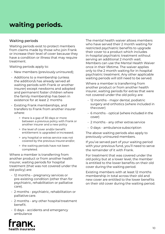# **waiting periods.**

## Waiting periods

Waiting periods exist to protect members from claims made by those who join Frank or increase their level of cover because they have a condition or illness that may require treatment.

Waiting periods apply to:

- New members (previously uninsured);
- Additions to a membership (unless the addition/s has already served all waiting periods with Frank or another insurer) except newborns and adopted and permanent foster children where the family membership has been in existence for at least 2 months
- Existing Frank memberships, and transfers to Frank from another insurer where:
	- > there is a gap of 30 days or more between a previous policy with Frank or another insurer and a new policy
	- > the level of cover and/or benefit entitlement is upgraded or increased;
	- > any hospital or extras service was not covered by the previous insurer and/or;
	- > the waiting periods have not been completed.

Where a member is transferring from another product or from another health insurer, waiting periods for hospital treatment (that was not covered under the old policy) are:

- 12 months pregnancy services or pre-existing condition (other than for psychiatric, rehabilitation or palliative care).
- 2 months psychiatric, rehabilitation or palliative care.
- 2 months any other hospital treatment benefit.
- 0 days accidents and emergency ambulance



Where a member is transferring from another product or from another health insurer, waiting periods for extras that were not covered under the old policy are:

- 12 months major dental, podiatric surgery and orthotics (where included in the cover)
- 6 months optical (where included in the cover)
- 2 months any other extras service
- 0 days ambulance subscription

The above waiting periods also apply to previously uninsured members.

If you've served part of your waiting period with your previous fund, you'll need to serve the remainder of it with Frank.

For treatment that was covered under the old policy but at a lower level, the member is entitled to the lower benefits on their old cover during the waiting period.

Existing members with at least 12 months membership in total across their old and new cover are entitled to the lower benefits on their old cover during the waiting period.

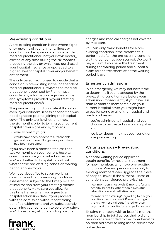# Pre-existing conditions

A pre-existing condition is one where signs or symptoms of your ailment, illness or condition, in the opinion of an independent medical practitioner (not your own doctor), existed at any time during the six months preceding the day on which you purchased your hospital insurance or upgraded to a higher level of hospital cover and/or benefit entitlement.

The only person authorised to decide that a condition is pre-existing is the independent medical practitioner. However, the medical practitioner appointed by Frank must consider any information regarding signs and symptoms provided by your treating medical practitioner/s.

The pre-existing condition rule still applies even if your ailment, illness or condition was not diagnosed prior to joining the hospital cover. The only test is whether or not, in the six months prior to joining your current hospital cover signs and symptoms:

- were evident to you; or
- would have been evident to a reasonable general practitioner if a general practitioner had been consulted.

If you have been a member for less than twelve months on your current hospital cover, make sure you contact us before you're admitted to hospital to find out whether the pre-existing condition waiting period applies to you.

We need about five to seven working days to make the pre-existing condition assessment, subject to the timely receipt of information from your treating medical practitioner/s. Make sure you allow for this time frame when you agree to a hospital admission date. If you proceed with the admission without confirming benefit entitlements and we subsequently determine your condition to be pre-existing, you'll have to pay all outstanding hospital



You can only claim benefits for a preexisting condition if the treatment is performed after the pre-existing condition waiting period has been served. We won't pay a claim if you have the treatment during the waiting period and submit a claim for the treatment after the waiting period is over.

# Emergency admissions

In an emergency, we may not have time to determine if you're affected by the pre-existing condition rule before your admission. Consequently if you have less than 12 months membership on your current hospital cover you might have to pay for some or all of the hospital and medical charges if:

- you're admitted to hospital and you choose to be treated as a private patient; and
- we later determine that your condition was pre-existing.

## Waiting periods – Pre-existing conditions

A special waiting period applies to obtain benefits for hospital treatment for new members who have pre- existing conditions. Waiting periods also apply to existing members who upgrade their level of hospital cover. If the ailment, illness or condition is considered pre-existing:

- new members must wait 12 months for any hospital benefits (other than psychiatric, rehabilitation and palliative care).
- members transferring/upgrading to a higher hospital cover must wait 12 months to get the higher hospital benefits (other than psychiatric, rehabilitation and palliative care).

Existing members with at least 12 months membership in total across their old and new cover are entitled to the lower benefits on their old cover as long as the service was not excluded.

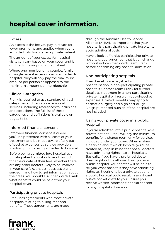# **hospital cover information.**

#### Excess

An excess is the fee you pay in return for lower premiums and applies when you're admitted into hospital as a private patient.

The amount of your excess for hospital visits can vary based on your cover, and is outlined on your product fact sheet

Where one member on a couples, family or single parent excess cover is admitted to hospital they will only pay the maximum amount per person as opposed to the maximum amount per membership

# Clinical Categories

Frank is required to use standard clinical categories and definitions across all services, including references to inclusions and exclusions. The full list of these categories and definitions is available on pages 31-36.

## Informed financial consent

Informed financial consent is where you'll be presented with all costs of your treatment and be made aware of any out of pocket expenses by service providers involved prior to being admitted to hospital.

Before being admitted into hospital as a private patient, you should ask the doctor for an estimate of their fees, whether there are any other doctors likely to be involved in your care (e.g. anaesthetist, assistant surgeon) and how to get information about their fees. You should also check with Frank what benefits could be paid from your hospital cover.

# Participating private hospitals

Frank has agreements with most private hospitals relating to billing, fees and benefits. These agreements are made

through the Australia Health Service Alliance (AHSA). It's important that your hospital is a participating private hospital to avoid additional costs.

Have a look at Frank's participating private hospitals, but remember that it can change without notice. Check with Team Frank before confirming any hospital admission.

# Non-participating hospitals

Fixed benefits are payable for hospitalisation in non-participating private hospitals. Contact Team Frank for further details as treatment in a non-participating private hospital will result in out-of-pocket expenses. Limited benefits may apply to cosmetic surgery and high cost drugs. Drugs purchased outside of the hospital are not included.

#### Using your private cover in a public hospital

If you're admitted into a public hospital as a private patient, Frank will pay the minimum benefits for a shared room only for services included under your cover. When making a decision about which hospital you'll be treated at, keep in mind that not all doctors have admitting rights into all hospitals. Basically, if you have a preferred doctor they might not be allowed treat you in a public hospital. Your doctor will be able to tell you what hospitals they have admitting rights to. Electing to be a private patient in a public hospital could result in significant out-of-pocket costs to you. Ensure you receive written informed financial consent for any hospital admission.

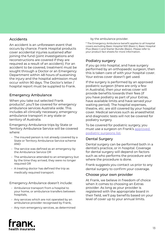# Accidents

An accident is an unforeseen event that occurs by chance. Frank Hospital products cover accidental injuries sustained after joining the fund (joint investigations and reconstructions are covered if they are required as a result of an accident). For an accident to be covered, treatment must be sought through a Doctor or an Emergency Department within 48 hours of sustaining the injury and the hospital admission must occur within 90 days. The Doctor's letter / hospital report must be supplied to Frank.

## Emergency Ambulance

When you take out selected Frank products\*, you'll be covered for emergency ambulance services Australia wide. This includes all clinically necessary, emergency ambulance transport in any state or territory of Australia.

Emergency Ambulance trips by State or Territory Ambulance Service will be covered where:

- The insured person is not already covered by a State or Territory Ambulance Service scheme AND
- The service was defined as an emergency by the Ambulance Service OR
- The ambulance attended to an emergency but by the time they arrived, they were no longer required OR
- A treating doctor has defined the trip as medically required transport.

Emergency Ambulance doesn't include:

- Ambulance transport from a hospital to your home, or ambulance transfers between hospitals,
- Any services which are not operated by an ambulance provider recognised by Frank,
- Any non-emergency services, as determined

by the ambulance provider.

\* The Emergency Ambulance benefit applies to all hospital covers excluding Basic Hospital 500 (Basic+), Basic Hospital Plus (Basic+) and Starter Bundle (Basic). Please refer to your product fact sheets for more information.

# Podiatry surgery

If you go into hospital, and have surgery performed by an orthopaedic surgeon, then this is taken care of with your hospital cover. Your extras cover doesn't get used.

If the surgery is performed by an approved podiatric surgeon (there are only a few in Australia), then your extras cover will provide benefits towards their fees (if you have podiatry as part of your Extras, have available limits and have served your waiting period). The hospital expenses, theatre, etc. are still covered by your hospital cover. Medical services such as anaesthetist and diagnostic tests will not be covered for podiatry surgery.

To be covered for podiatric surgery, you must use a surgeon on Frank's [approved](https://www.frankhealthinsurance.com.au/legals#podiatrysurgery) 

#### [podiatric surgeons list.](https://www.frankhealthinsurance.com.au/legals#podiatrysurgery)

#### Dental Surgery

Dental surgery can be performed both in a dentist's practice, or in hospital. Coverage for dental surgery will depend on factors such as who performs the procedure and where the procedure is done.

Frank suggests you contact us prior to any dental surgery to confirm your coverage.

#### Choose your own provider

At Frank, we believe in freedom of choice when it comes to choosing an Extras provider. As long as your provider is registered with the appropriate board in their field, we'll pay benefits based on your level of cover up to your annual limits.

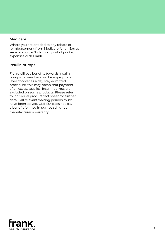#### Medicare

Where you are entitled to any rebate or reimbursement from Medicare for an Extras service, you can't claim any out of pocket expenses with Frank.

## Insulin pumps

Frank will pay benefits towards insulin pumps to members on the appropriate level of cover as a day stay admitted procedure, this may mean that payment of an excess applies. Insulin pumps are excluded on some products. Please refer to individual product fact sheet for further detail. All relevant waiting periods must have been served. GMHBA does not pay a benefit for insulin pumps still under manufacturer's warranty.

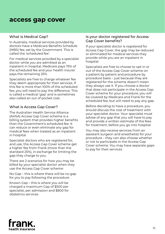# **access gap cover**

#### What is Medical Gap?

In Australia, medical services provided by doctors have a Medicare Benefits Schedule (MBS) fee, set by the Government. This is called the 'scheduled fee'.

For medical services provided by a specialist doctor while you are admitted as an inpatient in hospital, Medicare pays 75% of the scheduled fee and your health insurer pays the remaining 25%.

Specialists are free to charge whatever fee they deem appropriate for their services. If this fee is more than 100% of the scheduled fee, you will need to pay the difference. This is called a medical 'gap' and is sometimes also called an out of pocket cost.

## What is Access Gap Cover?

The Australian Health Service Alliance (AHSA) Access Gap Cover scheme is a billing system that provides higher benefits than the Government's scheduled fee. It can reduce or even eliminate any gap for medical fees when treated as an inpatient in hospital.

Specialist doctors who are registered for, and use, the Access Gap Cover scheme get a higher fee from Frank (more than the standard 25%), in exchange for limiting the gap they charge to you.

There are 2 scenarios for how you may be billed by your specialist doctor when they use the Access Gap Cover scheme:

No Gap – this is where there will be no gap for you to pay following the procedure

Known Gap – this is where you will be charged a maximum Gap of \$500 per specialist, per admission and \$800 for obstetrics services.

#### Is your doctor registered for Access Gap Cover benefits?

If your specialist doctor is registered for Access Gap Cover, the gap may be reduced or eliminated for medical services they provide while you are an inpatient in hospital.

Specialists are free to choose to opt in or out of the Access Gap Cover scheme on a patient by patient and procedure by procedure basis – just because they are registered for the scheme doesn't mean they always use it. If you choose a doctor that does not participate in the Access Gap Cover scheme for your procedure, you will be covered by Medicare and Frank for the scheduled fee, but will need to pay any gap.

Before deciding to have a procedure, you should discuss the cost of treatment with your specialist doctor. Your specialist must advise of any gap that you will have to pay and provide a written estimate of the fees for treatment, before you go into hospital.

You may also receive services from an assistant surgeon and anesthetist for your procedure – they can also choose whether or not to participate in the Access Gap Cover scheme. You may have separate gaps to pay for their services.

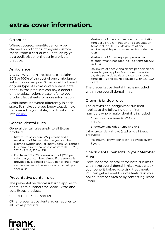# **extras cover information.**

# **Orthotics**

Where covered, benefits can only be claimed on orthotics if they are custom made (from a cast or mould taken by you) by a podiatrist or orthotist in a private practice.

# Ambulance

VIC, SA, WA and NT residents can claim 80% or 100% of the cost of one ambulance subscription per year (% back will be based on your type of Extras cover). Please note, not all extras products can pay a benefit on the subscription, please refer to your product fact sheets for more information.

Ambulance is covered differently in each state. To make sure you know exactly how it's covered in your state, check out more info [online.](https://www.frankhealthinsurance.com.au/help/products/ambulance-cover-explained)

# General dental rules

General dental rules apply to all Extras products:

- Maximum of six item 222 per visit and a maximum of 24 per calendar year can be claimed (within annual limits). Item 222 cannot be claimed in the same visit as item 111, 115, 231, 232, 242, 243, 250 or 251.
- For items 961 972, a maximum of \$250 per calendar year can be claimed if the service is provided by a dentist or \$300 per calendar year can be claimed if the service is provided by a specialist.

## Preventative dental rules

The preventative dental sublimit applies to dental item numbers for Some Extras and Lots Extras products:

011 - 018, 111, 113 - 115 and 121.

Other preventative dental rules (applies to all Extras products):

- Maximum of one examination or consultation item per visit. Examination and consultation items include 011-017. Maximum of one 011 service payable per provider per two calendar years.
- Maximum of 3 checkups per person per calendar year. Checkups include items 011, 012 and 014.
- Maximum of 3 scale and cleans per person per calendar year applies. Maximum of one item payable per visit. Scale and cleans includes items 111, 114 and 115. Not payable with 222, 250 or 251.

The preventative dental limit is included within the overall dental limit.

# Crown & bridge rules

The crowns and bridgework sub limit applies to the following dental item numbers where major dental is included:

- Crowns include items 611-618 and 671-673
- Bridgework includes items 642-643

Other crown dental rules (applies to all Extras products):

• Maximum 1 crown per tooth is payable every 5 years.

## Check dental benefits in your Member Area

Because some dental items have sublimits within the overal dental limit, always check your benefit before receiving treatment. You can get a benefit quote feature in your online Member Area or by contacting Team Frank.

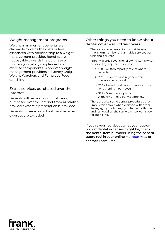## Weight management programs

Weight management benefits are claimable towards the costs or fees associated with membership to a weight management provider. Benefits are not payable towards the purchase of food and/or dietary supplements or exercise components. Approved weight management providers are Jenny Craig, Weight Watchers and Fernwood Food Coaching.

#### Extras services purchased over the internet

Benefits will be paid for optical items purchased over the internet from Australian providers where a prescription is provided.

Benefits for services or treatment received overseas are excluded.

#### Other things you need to know about dental cover – all Extras covers

- There are some dental items that have a maximum number of claimable services per visit and per year.
- Frank will only cover the following items when provided by a specialist dentist
	- > 018 Written report (not elsewhere included)
	- > 237 Guided tissue regeneration membrane removal.
	- > 238 Periodontal flap surgery for crown lengthening - per tooth.
	- > 332 Ostectomy per jaw. A maximum of 2 per visit applies.
- There are also some dental procedures that Frank won't cover when claimed with other items, eg if your bill says you had a tooth filled and removed on the same day, we won't pay for the filling.

If you're worried about what your out-ofpocket dental expenses might be, check the dental item numbers using the benefit quote tool in your online [Member Area](https://member.frankhealthinsurance.com.au/SignIn?ReturnUrl=%2F%3Freturnurl%3D%2Fdefault.aspx) or contact Team Frank.

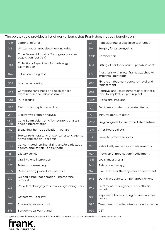| The below table provides a list of dental items that Frank does not pay benefits on: |  |  |  |
|--------------------------------------------------------------------------------------|--|--|--|
|                                                                                      |  |  |  |

| 019          | Letter of referral                                                                   | 384            | Repositioning of displaced tooth/teeth                                      |
|--------------|--------------------------------------------------------------------------------------|----------------|-----------------------------------------------------------------------------|
| $018*$       | Written report (not elsewhere included)                                              | 394*           | Surgery for osteomyelitis                                                   |
| 026          | Cone Beam Volumetric Tomography - scan<br>acquisition (per visit)                    | 438*           | Hemisection                                                                 |
| 044          | Collection of specimen for pathology<br>examination                                  | 664            | Fitting of bar for denture - per abutment                                   |
| 047          | Saliva screening test                                                                | 666            | Prosthesis with metal frame attached to<br>implants - per tooth             |
| 054          | Mucosal screening                                                                    | 668            | Fixture or abutment screw removal and<br>replacement                        |
| 059          | Comprehensive head and neck cancer<br>examination and risk assessment                | 669            | Removal and reattachment of prosthesis<br>fixed to implant(s) - per implant |
| 061          | Pulp testing                                                                         | 689*           | Provisional implant                                                         |
| 085          | Electromyographic recording                                                          | $711 -$<br>769 | Dentures and denture related items                                          |
| 086          | Electromyographic analysis                                                           | 778            | Inlay for denture tooth                                                     |
| 087 -<br>091 | Cone Beam Volumetric Tomography analysis<br>and/or interpretation                    | 779*           | Surgical guide for an immediate denture                                     |
| 119          | Bleaching, home application - per arch                                               | 915            | After-hours callout                                                         |
| 122          | Topical remineralizing and/or cariostatic agents,<br>home application - per arch     | 916            | Travel to provide services                                                  |
| 123          | Concentrated remineralizing and/or cariostatic<br>agents, application - single tooth | 926            | Individually made tray - medicament(s)                                      |
| 131          | Dietary advice                                                                       | 927            | Provision of medication/medicament                                          |
| 141          | Oral hygiene instruction                                                             | 941            | Local anaesthesia                                                           |
| 142          | Tobacco counselling                                                                  | 944            | Relaxation therapy                                                          |
| 165          | Desensitizing procedure - per visit                                                  | 945            | Low level laser therapy - per appointment                                   |
| $237*$       | Guided tissue regeneration - membrane<br>removal                                     | 948            | Dental acupuncture - per appointment                                        |
| 238*         | Periodontal surgery for crown lengthening - per<br>tooth                             | 949            | Treatment under general anaesthesia/<br>sedation                            |
| 332*         | Ostectomy - per jaw                                                                  | 985            | Repair/addition – snoring or sleep apnoea<br>device                         |
| $375*$       | Surgery to salivary duct                                                             | 990            | Treatment not otherwise included (specify)                                  |
| 376*         | Surgery to salivary gland                                                            | 999            | <b>GST</b>                                                                  |

\* Only Frank Simple Extras, Everyday Extras and More Extras do not pay a benefit on these item numbers.<br>
Fram K.

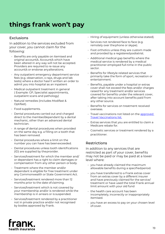# **things frank won't pay**

# Exclusions

In addition to the services excluded from your cover, you cannot claim for the following:

- Benefits are only payable on itemised and original account/s. Account/s which have been altered in any way will not be accepted. Providers are required to re-issue any account/s or endorse any alterations.
- Any outpatient emergency department service fees (e.g. observation, x-rays, drugs and lab tests) where a doctor hasn't written an order to admit you into hospital as an inpatient
- Medical outpatient treatment in general ( Example: GP, Specialist appointments, outpatient scans and pathology)
- Natural remedies (includes Modifast & Optifast).
- Food supplements.
- Dental procedures carried out and charged direct to the member/dependant by a dental mechanic, other than an advanced dental technician.
- A range of dental procedures when provided on the same day e.g. a filling on a tooth that has been removed.
- Dental procedures where a limit on the number you can have has been exceeded.
- Dental procedures unless tooth identifications (ID) are supplied by the provider.
- Services/treatment for which the member and/ or dependant has a right to claim damages or compensation from any other person or body.
- Treatment where the member and/or dependant is eligible for free treatment under any Commonwealth or State Government Act.
- Services/treatment rendered more than 12 months prior to the date of claiming.
- Services/treatment which is not covered by your membership and/or is rendered while the membership is in arrears or is suspended.
- Services/treatment rendered by a practitioner not in private practice and/or not recognised by bodies approved by Frank.
- Hiring of equipment (unless otherwise stated).
- Services not rendered face to face (e.g. remotely over the phone or skype).
- Foot orthotics unless they are custom made and provided by a registered podiatrist.
- Additional medical gap benefits where the medical service is rendered by a medical practitioner employed full-time in the public sector.
- Benefits for lifestyle related services that primarily take the form of sport, recreation or entertainment.
- Benefits, payable under a hospital or extras cover shall not exceed the fees and/or charges raised for any treatment and/or services covered for benefits under the relevant cover, after taking into account benefits paid from any other source.
- Benefits for services on treatment received overseas.
- Travel vaccinations not listed on the [approved](https://www.frankhealthinsurance.com.au/help/travel-vaccinations)  [Travel Vaccinations list](https://www.frankhealthinsurance.com.au/help/travel-vaccinations).
- Extras services that you are entitled to claim a Medicare rebate for.
- Cosmetic services or treatment rendered by a practitioner.

# **Restrictions**

In addition to any services that are restricted as part of your cover, benefits may not be paid or may be paid at a lower level where:

- you have already claimed the maximum allowable benefits during a specified period.
- you have transferred to a Frank extras cover from an extras cover by a different insurer and have previously claimed for the service/ treatment or have used the total Frank annual limit amount with your old fund
- the health care account has been incompletely, incorrectly or inappropriately itemised.
- you have an excess to pay on your chosen level of cover.

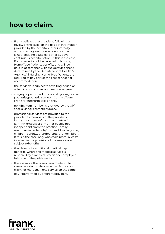# **how to claim.**

- Frank believes that a patient, following a review of the case (on the basis of information provided by the hospital either internally or using an agreed independent source), is not receiving acute care after 35 days continuous hospitalisation. If this is the case, Frank benefits will be reduced to Nursing Home Type Patients benefits and will be paid in accordance with the default benefit determined by the Department of Health & Ageing. All Nursing Home Type Patients are required to pay part of the cost of hospital accommodation.
- the service/s is subject to a waiting period or other limit which has not been served/met.
- surgery is performed in hospital by a registered podiatrist/podiatric surgeon. Contact Team Frank for further details on this.
- $\cdot$  no MBS item number is provided by the GP/ specialist e.g. cosmetic surgery.
- professional services are provided to the provider, to members of the provider's family, to a provider's business partner's family members or any other people not independent from the practice. Family members include: wife/husband, brother/sister, children, parents, grandparents, grandchildren. If this is the case, only wholesale material costs involved in the provision of the service are subject to benefits.
- $\cdot$  the claim is for additional medical gap benefits, where the medical service is rendered by a medical practitioner employed full-time in the public sector.
- there is more than one claim made to the same provider on the same day. But you can claim for more than one service on the same day if performed by different providers.

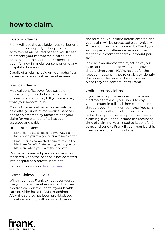# **how to claim.**

# Hospital Claims

Frank will pay the available hospital benefit direct to the hospital, as long as you are admitted as an insured patient. You'll need to present your membership card upon admission to the hospital. Remember to get informed financial consent prior to any hospital admission.

Details of all claims paid on your behalf can be viewed in your online member area.

# Medical Claims

Medical benefits cover fees payable to surgeons, anaesthetists and other professionals who may bill you separately from your hospital bills.

Claims for medical benefits can only be paid after your claim for medical services has been assessed by Medicare and your claim for hospital benefits has been assessed and paid.

To submit a claim;

- Either complete a Medicare Two Way claim form when you take your claim to medicare; or
- Email Frank a completed claim form and the Medicare Benefit Statement given to you by Medicare when you claim their benefit

Our benefits are not payable for services rendered when the patient is not admitted into hospital as a private inpatient.

Find out more about [how to claim.](https://www.frankhealthinsurance.com.au/help/members/how-to-claim)

# Extras Claims | HICAPS

When you have Frank extras cover you can use your Frank membership card to claim electronically on-the- spot (if your health care provider has a HICAPS machine). After the service has been provided, your membership card will be swiped through

the terminal, your claim details entered and your claim will be processed electronically. Once your claim is authorised by Frank, you simply pay any difference between the full fee for the treatment and the amount paid by Frank.

If there is an unexpected rejection of your claim at the point of service, your provider should check the HICAPS receipt for the rejection reason. If they're unable to identify the issue at the time of the service taking place they can contact Team Frank.

# Online Extras Claims

If your service provider does not have an electronic terminal, you'll need to pay your account in full and then claim online through your Frank Member Area. You can either claim without submitting a receipt or upload a copy of the receipt at the time of claiming. If you don't include the receipt at time of claiming, you'll need to keep it for 2 years and send to Frank if your membership claims are audited in this time.

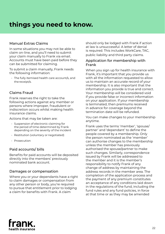# Manual Extras Claims

In some situations you may not be able to claim on-line, and you'll need to submit your claim manually to Frank via email. Accounts must have been paid before they can be submitted for claiming.

To submit a claim manually, Frank needs the following information:

• The fully itemised health care account/s, and the receipt/s.

# Claims Fraud

Frank reserves the right to take the following actions against any member or persons where improper, fraudulent or indiscretion occurs whilst making health insurance claims.

Actions that may be taken are:

- Suspension of electronic claiming for the period of time determined by Frank depending on the severity of the incident
- Restitution (voluntary or negotiated)
- Prosecution

## Paid accounts/ bills

Benefits for paid accounts will be deposited directly into the members' previously nominated bank account.

#### Damages or compensation

Where you or your dependants have a right to claim damages or compensation from any other person or body, you're required to pursue that entitlement prior to lodging a claim for benefits with Frank. A claim

should only be lodged with Frank if action at law is unsuccessful. A letter of denial is required. This includes WorkCare, TAC, public liability and third party claims.

#### Application for membership with Frank

When you sign up for health insurance with Frank, it's important that you provide us with all the information requested to allow us to maintain an accurate record of your membership. It is also important that the information you provide is true and correct. Your membership will be considered void if you provide false or incorrect information on your application. If your membership is terminated, then premiums received in advance for coverage beyond the termination date will be refunded.

You can make changes to your membership anytime.

Frank uses the terms 'member', 'spouse/ partner' and 'dependant' to define the people covered by a membership. Only the person nominated as the 'member' can authorise changes to the membership unless the member has previously authorised the spouse/partner to make such changes. Similarly, correspondence issued by Frank will be addressed to the member and it is the member's responsibility to notify Frank of any change of address by maintaining the address records in the member area. The completion of the application process and the payment of any premium constitutes an acceptance of any conditions laid down in the regulations of the fund, including the fund rules and any fund policies, in force at that time or as they may be amended

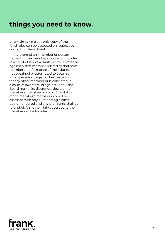# **things you need to know.**

at any time. An electronic copy of the fund rules can be accessed on request by contacting Team Frank.

In the event of any member or person named on the member's policy is convicted in a court of law of assault or similar offence against a staff member related to that staff member's performance of their duties, has obtained or attempted to obtain an improper advantage for themselves or for any other member or is convicted in a court of law of fraud against Frank, the Board may in its discretion, declare the member's membership void. The status of the member's membership will be assessed with any outstanding claims being honoured and any premiums shall be refunded. Any other rights accrued to the member will be forfeited.

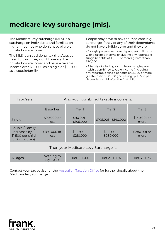# **medicare levy surcharge (mls).**

The Medicare levy surcharge (MLS) is a surcharge on individuals and families on higher incomes who don't have eligible private hospital cover.

The MLS is an additional tax that Aussies need to pay if they don't have eligible private hospital cover and have a taxable income over \$90,000 as a single or \$180,000 as a couple/family.

People may have to pay the Medicare levy surcharge if they or any of their dependants do not have eligible cover and they are:

• A single person - without dependent children with a taxable income (including any reportable fringe benefits of \$1,000 or more) greater than \$90,000

• A family - including a couple and single parent - with a combined taxable income (including any reportable fringe benefits of \$1,000 or more) greater than \$180,000 (increasing by \$1,500 per dependent child, after the first child).

| If you're a:                                                              | And your combined taxable income is: |                           |                           |                      |
|---------------------------------------------------------------------------|--------------------------------------|---------------------------|---------------------------|----------------------|
|                                                                           | <b>Base Tier</b>                     | Tier 1                    | Tier 2                    | Tier 3               |
| Single                                                                    | \$90,000 or<br>less                  | $$90,001 -$<br>\$105,000  | $$105,001 - $140,000$     | \$140,001 or<br>more |
| Couple / Family<br>(increases by<br>\$1,500 per child<br>for 2+ children) | \$180,000 or<br>less                 | $$180,001 -$<br>\$210,000 | $$210,001 -$<br>\$280,000 | \$280,001 or<br>more |
| Then your Medicare Levy Surcharge is:                                     |                                      |                           |                           |                      |
| All ages                                                                  | Nothing to<br>pay - 0.0%             | Tier 1 - 1.0%             | Tier 2 - 1.25%            | Tier 3 - 1.5%        |

Contact your tax adviser or the [Australian Taxation Office](http://www.ato.gov.au/) for further details about the Medicare levy surcharge.

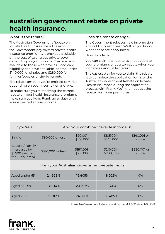# **australian government rebate on private health insurance.**

# What is the rebate?

The Australian Government Rebate on Private Health Insurance is the amount the Government pay toward private health insurance premiums. It provides a subsidy on the cost of taking out private cover depending on your income. The rebate is available to those who have full Medicare eligibility and have a taxable income under \$140,000 for singles and \$280,000 for families/couples or single parents.

The rebate amount you're entitled to varies depending on your income tier and age.

To make sure you're receiving the correct rebate on your health insurance premiums, make sure you keep Frank up to date with your expected annual income.

# Does the rebate change?

The Government releases new income tiers around 1 July each year. We'll let you know when these are announced.

How do I claim it?

You can claim the rebate as a reduction to your premiums or as a tax rebate when you lodge your annual tax return.

The easiest way for you to claim the rebate is to complete the application form for the Australian Government Rebate on Private Health Insurance during the application process with Frank. We'll then deduct the rebate from your premiums.

| If you're a:                                                              | And your combined taxable income is: |                           |                           |                      |  |
|---------------------------------------------------------------------------|--------------------------------------|---------------------------|---------------------------|----------------------|--|
| Single                                                                    | \$90,000 or less                     | $$90,001 -$<br>\$105,000  | $$105,001 -$<br>\$140,000 | \$140,001 or<br>more |  |
| Couple / Family<br>(increases by<br>\$1,500 per child<br>for 2+ children) | \$180,000 or less                    | $$180,001 -$<br>\$210,000 | $$210,001 -$<br>\$280,000 | \$280,001 or<br>more |  |
| Then your Australian Government Rebate Tier is:                           |                                      |                           |                           |                      |  |
| Aged under 65                                                             | 24.608%                              | 16.405%                   | 8.202%                    | O%                   |  |
| Aged 65 - 69                                                              | 28.710%                              | 20.507%                   | 12.303%                   | O%                   |  |
| Aged 70 +                                                                 | 32.812%                              | 24.608%                   | 16.405%                   | O%                   |  |

Australian Government Rebate is valid from April 1, 2021 - March 31, 2022

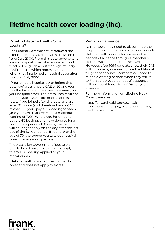# **lifetime health cover loading (lhc).**

## What is Lifetime Health Cover Loading?

The Federal Government introduced the Lifetime Health Cover (LHC) initiative on the 1st of July 2000. From this date, anyone who joins a hospital cover of a registered health fund will be given a Certified Age at Entry (CAE) status - which represents their age when they first joined a hospital cover after the 1st of July 2000.

If you joined a hospital cover before this date you're assigned a CAE of 30 and you'll pay the base rate (the lowest premium) for your hospital cover. The premiums returned on the Quick Quote are quoted at base rates. If you joined after this date and are aged 31 or over(and therefore have a CAE of over 30), you'll pay a 2% loading for each year your CAE is above 30 (to a maximum loading of 70%). Where you have had to pay a LHC loading, and have done so for a continuous period of 10 years, the loading will no longer apply on the day after the last day of the 10 year period. If you're over the age of 30, the sooner you take out hospital cover, the less you'll pay later.

The Australian Government Rebate on private health insurance does not apply to any LHC loading applied to your membership.

Lifetime health cover applies to hospital cover and does not apply to extras.

# Periods of absence

As members may need to discontinue their hospital cover membership for brief periods, lifetime health cover allows a period or periods of absence through a member's lifetime without affecting their CAE. However, after 1094 days absence, their CAE will increase by one year for each additional full year of absence. Members will need to re-serve waiting periods when they return to Frank. Approved periods of suspension will not count towards the 1094 days of absence.

For more information on Lifetime Health Cover please visit:

https://privatehealth.gov.au/health\_ insurance/surcharges\_incentives/lifetime health\_cover.htm

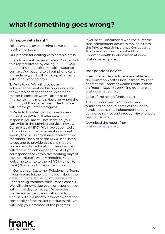# **what if something goes wrong?**

# Unhappy with Frank?

Tell us what is on your mind so we can help resolve the issue.

Our process for dealing with complaints is:

1. Talk to a Frank representative. You can talk to a representative by calling 1300 516 450 or emailing frank@frankhealthinsurance. com.au. We respond to all our phone calls immediately, and will follow up all e-mails within 2-5 working days.

2. Write to us. We will provide an acknowledgement within 5 working days for written correspondence. Where the matter is complex we will attempt to finalise within a month. However where the difficulty of the matter precludes this, we will inform you of the progress.

3. Write to the Member Services Review Committee (MSRC). If after receiving our response you are still not satisfied, you can write to the Member Services Review Committee (MSRC). We have appointed a panel of senior management who meet weekly to discuss any issues received from members. The aim of the MSRC is to listen to you and to provide decisions that are fair and equitable for all our members. You will receive an acknowledgement of your correspondence within five working days of the committee's weekly meeting. You are welcome to write to the MSRC by email to frank@frankhealthinsurance.com.au.

4. Contact our Customer Relationship Team. If you require further clarification about the decision made at the MSRC, please email us at frank@frankhealthinsurance.com.au. We will acknowledge your correspondence within five days of receipt. Where the matter is complex we will attempt to finalise within a month, however where the complexity of the matter precludes this, we will keep you informed of the progress.

If you're still dissatisfied with the outcome, free independent advice is available from the Private Health Insurance Ombudsman. To make a complaint, contact the Commonwealth Ombudsman at www. ombudsman.gov.au.

#### Independent advice

Free independent advice is available from the Commonwealth Ombudsman. You can contact the Commonwealth Ombudsman on freecall 1300 737 299. Find out more at ombudsman.gov.au.

State of the health funds report

The Commonwealth Ombudsman publishes an annual State of the Health Funds Report. This independent report compares service and productivity of private health insurers.

Download the report from ombudsman.gov.au.

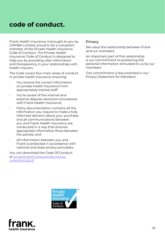# **code of conduct.**

Frank Health Insurance is brought to you by GMHBA Limited, proud to be a compliant member of the Private Health Insurance Code of Conduct. The Private Health Insurance Code of Conduct is designed to help you by providing clear information and transparency in your relationships with health insurers.

The Code covers four main areas of conduct in private health insurance ensuring:

- You receive the correct information on private health insurance from appropriately trained staff;
- You're aware of the internal and external dispute resolution procedures with Frank Health Insurance;
- Policy documentation contains all the information you require to make a fully informed decision about your purchase and all communications between you and Frank Health Insurance are conducted in a way that ensures appropriate information flows between the parties; and
- All information between you and Frank is protected in accordance with national and state privacy principles.

You can download the Code Of Conduct at privatehealthcareaustralia.org.au/ codeofconduct/

## Privacy

We value the relationship between Frank and our members.

An important part of this relationship is our commitment to protecting the personal information entrusted to us by our members.

This commitment is documented in our Privacy Statement for Members.



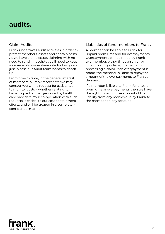# **audits.**

# Claim Audits

Frank undertakes audit activities in order to protect members' assets and contain costs. As we have online extras claiming with no need to send in receipts you'll need to keep your receipts somewhere safe for two years just in case our Audit team wants to check up.

From time to time, in the general interest of members, a Frank representative may contact you with a request for assistance to monitor costs – whether relating to benefits paid or charges raised by health care providers. Your co-operation with such requests is critical to our cost containment efforts, and will be treated in a completely confidential manner.

## Liabilities of fund members to Frank

A member can be liable to Frank for unpaid premiums and for overpayments. Overpayments can be made by Frank to a member, either through an error in completing a claim, or an error in processing a claim. If an overpayment is made, the member is liable to repay the amount of the overpayments to Frank on demand.

If a member is liable to Frank for unpaid premiums or overpayments then we have the right to deduct the amount of that liability from any monies due by Frank to the member on any account.

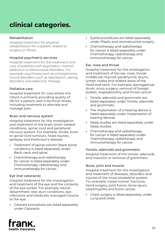# **clinical categories.**

#### Rehabilitation

Hospital treatment for physical rehabilitation for a patient related to surgery or illness.

#### Hospital psychiatric services

Hospital treatment for the treatment and care of patients with psychiatric, mental, addiction or behavioural disorders. For example: psychoses such as schizophrenia, mood disorders such as depression, eating disorders and addiction therapy.

#### Palliative care

Hospital treatment for care where the intent is primarily providing quality of life for a patient with a terminal illness, including treatment to alleviate and manage pain.

#### Brain and nervous system

Hospital treatment for the investigation and treatment of the brain, brain-related conditions, spinal cord and peripheral nervous system. For example: stroke, brain or spinal cord tumours, head injuries, epilepsy and Parkinson's disease.

- **•** Treatment of spinal column (back bone) conditions is listed separately under Back, neck and spine.
- **•** Chemotherapy and radiotherapy for cancer is listed separately under Chemotherapy, radiotherapy and immunotherapy for cancer.

#### Eye (not cataracts)

Hospital treatment for the investigation and treatment of the eye and the contents of the eye socket. For example: retinal detachment, tear duct conditions, eye infections and medically managed trauma to the eye.

**•** Cataract procedures are listed separately under Cataracts.

- **•** Eyelid procedures are listed separately under Plastic and reconstructive surgery.
- **•** Chemotherapy and radiotherapy for cancer is listed separately under Chemotherapy, radiotherapy and immunotherapy for cancer.

#### Ear, nose and throat

Hospital treatment for the investigation and treatment of the ear, nose, throat, middle ear, thyroid, parathyroid, larynx, lymph nodes and related areas of the head and neck. For example: damaged ear drum, sinus surgery, removal of foreign bodies, stapedectomy and throat cancer.

- **•** Tonsils, adenoids and grommets are listed separately under Tonsils, adenoids and grommets.
- **•** The implantation of a hearing device is listed separately under Implantation of hearing devices.
- **•** Sleep studies are listed separately under Sleep studies.
- **•** Chemotherapy and radiotherapy for cancer is listed separately under Chemotherapy, radiotherapy and immunotherapy for cancer.

#### Tonsils, adenoids and grommets

Hospital treatment of the tonsils, adenoids and insertion or removal of grommets.

#### Bone, joint and muscle

Hospital treatment for the investigation and treatment of diseases, disorders and injuries of the musculoskeletal system. For example: carpal tunnel, fractures, hand surgery, joint fusion, bone spurs, osteomyelitis and bone cancer.

**•** Chest surgery is listed separately under Lung and chest.

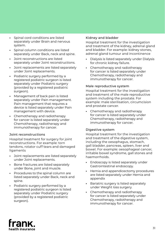- **•** Spinal cord conditions are listed separately under Brain and nervous system.
- **•** Spinal column conditions are listed separately under Back, neck and spine.
- **•** Joint reconstructions are listed separately under Joint reconstructions.
- **•** Joint replacements are listed separately under Joint replacements.
- **•** Podiatric surgery performed by a registered podiatric surgeon is listed separately under Podiatric surgery (provided by a registered podiatric surgeon).
- **•** Management of back pain is listed separately under Pain management. Pain management that requires a device is listed separately under Pain management with device.
- **•** Chemotherapy and radiotherapy for cancer is listed separately under Chemotherapy, radiotherapy and immunotherapy for cancer.

#### Joint reconstructions

Hospital treatment for surgery for joint reconstructions. For example: torn tendons, rotator cuff tears and damaged ligaments

- **•** Joint replacements are listed separately under Joint replacements.
- **•** Bone fractures are listed separately under Bone, joint and muscle.
- **•** Procedures to the spinal column are listed separately under Back, neck and spine.
- **•** Podiatric surgery performed by a registered podiatric surgeon is listed separately under Podiatric surgery (provided by a registered podiatric surgeon).

#### Kidney and bladder

Hospital treatment for the investigation and treatment of the kidney, adrenal gland and bladder. For example: kidney stones, adrenal gland tumour and incontinence

- **•** Dialysis is listed separately under Dialysis for chronic kidney failure.
- **•** Chemotherapy and radiotherapy for cancer is listed separately under Chemotherapy, radiotherapy and immunotherapy for cancer.

#### Male reproductive system

Hospital treatment for the investigation and treatment of the male reproductive system including the prostate. For example: male sterilisation, circumcision and prostate cancer.

**•** Chemotherapy and radiotherapy for cancer is listed separately under Chemotherapy, radiotherapy and immunotherapy for cancer.

#### Digestive system

Hospital treatment for the investigation and treatment of the digestive system, including the oesophagus, stomach, gall bladder, pancreas, spleen, liver and bowel. For example: oesophageal cancer, irritable bowel syndrome, gall stones and haemorrhoids.

- **•** Endoscopy is listed separately under Gastrointestinal endoscopy.
- **•** Hernia and appendicectomy procedures are listed separately under Hernia and appendix
- **•** Bariatric surgery is listed separately under Weight loss surgery.
- **•** Chemotherapy and radiotherapy for cancer is listed separately under Chemotherapy, radiotherapy and immunotherapy for cancer.

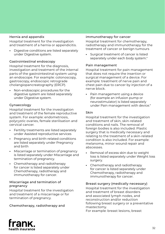#### Hernia and appendix

Hospital treatment for the investigation and treatment of a hernia or appendicitis.

**•** Digestive conditions are listed separately under Digestive system.

#### Gastrointestinal endoscopy

Hospital treatment for the diagnosis, investigation and treatment of the internal parts of the gastrointestinal system using an endoscope. For example: colonoscopy, gastroscopy, endoscopic retrograde cholangiopancreatography (ERCP).

**•** Non-endoscopic procedures for the digestive system are listed separately under Digestive system.

#### Gynaecology

Hospital treatment for the investigation and treatment of the female reproductive system. For example: endometriosis, polycystic ovaries, female sterilisation and cervical cancer.

- **•** Fertility treatments are listed separately under Assisted reproductive services
- **•** Pregnancy and birth-related conditions are listed separately under Pregnancy and birth
- **•** Miscarriage or termination of pregnancy is listed separately under Miscarriage and termination of pregnancy.
- **•** Chemotherapy and radiotherapy for cancer is listed separately under Chemotherapy, radiotherapy and immunotherapy for cancer.

#### Miscarriage and termination of pregnancy

Hospital treatment for the investigation and treatment of a miscarriage or for termination of pregnancy.

#### Chemotherapy, radiotherapy and

#### immunotherapy for cancer

Hospital treatment for chemotherapy, radiotherapy and immunotherapy for the treatment of cancer or benign tumours

**•** Surgical treatment of cancer is listed separately under each body system."

#### Pain management

Hospital treatment for pain management that does not require the insertion or surgical management of a device. For example: treatment of nerve pain and chest pain due to cancer by injection of a nerve block.

**•** Pain management using a device (for example an infusion pump or neurostimulator) is listed separately under Pain management with device."

#### Skin

Hospital treatment for the investigation and treatment of skin, skin-related conditions and nails. The removal of foreign bodies is also included. Plastic surgery that is medically necessary and relating to the treatment of a skin-related condition is also included. For example: melanoma, minor wound repair and abscesses.

- **•** Removal of excess skin due to weight loss is listed separately under Weight loss surgery.
- **•** Chemotherapy and radiotherapy for cancer is listed separately under Chemotherapy, radiotherapy and immunotherapy for cancer.

#### Breast surgery (medically necessary)

Hospital treatment for the investigation and treatment of breast disorders and associated lymph nodes, and reconstruction and/or reduction following breast surgery or a preventative mastectomy. For example: breast lesions, breast

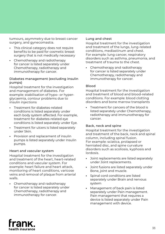tumours, asymmetry due to breast cancer surgery, and gynecomastia.

- **•** This clinical category does not require benefits to be paid for cosmetic breast surgery that is not medically necessary
- **•** Chemotherapy and radiotherapy for cancer is listed separately under Chemotherapy, radiotherapy and immunotherapy for cancer.

#### Diabetes management (excluding insulin pumps)

Hospital treatment for the investigation and management of diabetes. For example: stabilisation of hypo- or hyperglycaemia, contour problems due to insulin injections

- **•** Treatment for diabetes-related conditions is listed separately under each body system affected. For example, treatment for diabetes-related eye conditions is listed separately under Eye.
- **•** Treatment for ulcers is listed separately under Skin.
- **•** Provision and replacement of insulin pumps is listed separately under Insulin pumps.

#### Heart and vascular system

Hospital treatment for the investigation and treatment of the heart, heart-related conditions and vascular system. For example: heart failure and heart attack, monitoring of heart conditions, varicose veins and removal of plaque from arterial walls.

**•** Chemotherapy and radiotherapy for cancer is listed separately under Chemotherapy, radiotherapy and immunotherapy for cancer.

#### Lung and chest

Hospital treatment for the investigation and treatment of the lungs, lung-related conditions, mediastinum and chest. For example: lung cancer, respiratory disorders such as asthma, pneumonia, and treatment of trauma to the chest.

**•** Chemotherapy and radiotherapy for cancer is listed separately under Chemotherapy, radiotherapy and immunotherapy for cancer.

#### Blood

Hospital treatment for the investigation and treatment of blood and blood-related conditions. For example: blood clotting disorders and bone marrow transplants

**•** Treatment for cancers of the blood is listed separately under Chemotherapy, radiotherapy and immunotherapy for cancer.

#### Back, neck and spine

Hospital treatment for the investigation and treatment of the back, neck and spinal column, including spinal fusion. For example: sciatica, prolapsed or herniated disc, and spine curvature disorders such as scoliosis, kyphosis and lordosis.

- **•** Joint replacements are listed separately under Joint replacements.
- **•** Joint fusions are listed separately under Bone, joint and muscle.
- **•** Spinal cord conditions are listed separately under Brain and nervous system
- **•** Management of back pain is listed separately under Pain management. Pain management that requires a device is listed separately under Pain management with device.

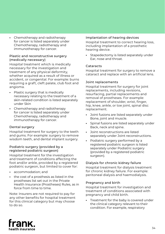**•** Chemotherapy and radiotherapy for cancer is listed separately under Chemotherapy, radiotherapy and immunotherapy for cancer.

#### Plastic and reconstructive surgery (medically necessary)

Hospital treatment which is medically necessary for the investigation and treatment of any physical deformity, whether acquired as a result of illness or accident, or congenital. For example: burns requiring a graft, cleft palate, club foot and angioma.

- **•** Plastic surgery that is medically necessary relating to the treatment of a skin-related condition is listed separately under Skin
- **•** Chemotherapy and radiotherapy for cancer is listed separately under Chemotherapy, radiotherapy and immunotherapy for cancer.

#### Dental surgery

Hospital treatment for surgery to the teeth and gums. For example: surgery to remove wisdom teeth, and dental implant surgery.

#### Podiatric surgery (provided by a registered podiatric surgeon)

Hospital treatment for the investigation and treatment of conditions affecting the foot and/or ankle, provided by a registered podiatric surgeon, but limited to cover for:

- **•** accommodation; and
- **•** the cost of a prosthesis as listed in the prostheses list set out in the Private Health Insurance (Prostheses) Rules, as in force from time to time.

Note: Insurers are not required to pay for any other benefits for hospital treatment for this clinical category but may choose to do so.

#### Implantation of hearing devices

Hospital treatment to correct hearing loss, including implantation of a prosthetic hearing device.

**•** Stapedectomy is listed separately under Ear, nose and throat.

#### Cataracts

Hospital treatment for surgery to remove a cataract and replace with an artificial lens.

#### Joint replacements

Hospital treatment for surgery for joint replacements, including revisions, resurfacing, partial replacements and removal of prostheses. For example: replacement of shoulder, wrist, finger, hip, knee, ankle, or toe joint, spinal disc replacement.

- **•** Joint fusions are listed separately under Bone, joint and muscle.
- **•** Spinal fusions are listed separately under Back, neck and spine.
- **•** Joint reconstructions are listed separately under Joint reconstructions.
- **•** Podiatric surgery performed by a registered podiatric surgeon is listed separately under Podiatric surgery (provided by a registered podiatric surgeon).

#### Dialysis for chronic kidney failure

Hospital treatment for dialysis treatment for chronic kidney failure. For example: peritoneal dialysis and haemodialysis.

#### Pregnancy and birth

Hospital treatment for investigation and treatment of conditions associated with pregnancy and child birth.

**•** Treatment for the baby is covered under the clinical category relevant to their condition. For example, respiratory

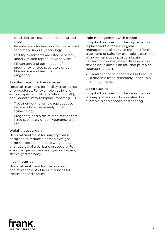conditions are covered under Lung and chest.

- **•** Female reproductive conditions are listed separately under Gynaecology.
- **•** Fertility treatments are listed separately under Assisted reproductive services
- **•** Miscarriage and termination of pregnancy is listed separately under Miscarriage and termination of pregnancy.

#### Assisted reproductive services

Hospital treatment for fertility treatments or procedures. For example: retrieval of eggs or sperm, In vitro Fertilisation (IVF), and Gamete Intra-fallopian Transfer (GIFT).

- **•** Treatment of the female reproductive system is listed separately under Gynaecology.
- **•** Pregnancy and birth-related services are listed separately under Pregnancy and birth.

#### Weight loss surgery

Hospital treatment for surgery that is designed to reduce a person's weight, remove excess skin due to weight loss and reversal of a bariatric procedure. For example: gastric banding, gastric bypass, sleeve gastrectomy.

#### Insulin pumps

Hospital treatment for the provision and replacement of insulin pumps for treatment of diabetes.

#### Pain management with device

Hospital treatment for the implantation, replacement or other surgical management of a device required for the treatment of pain. For example: treatment of nerve pain, back pain, and pain caused by coronary heart disease with a device (for example an infusion pump or neurostimulator).

**•** Treatment of pain that does not require a device is listed separately under Pain management.

#### Sleep studies

Hospital treatment for the investigation of sleep patterns and anomalies. For example: sleep apnoea and snoring.